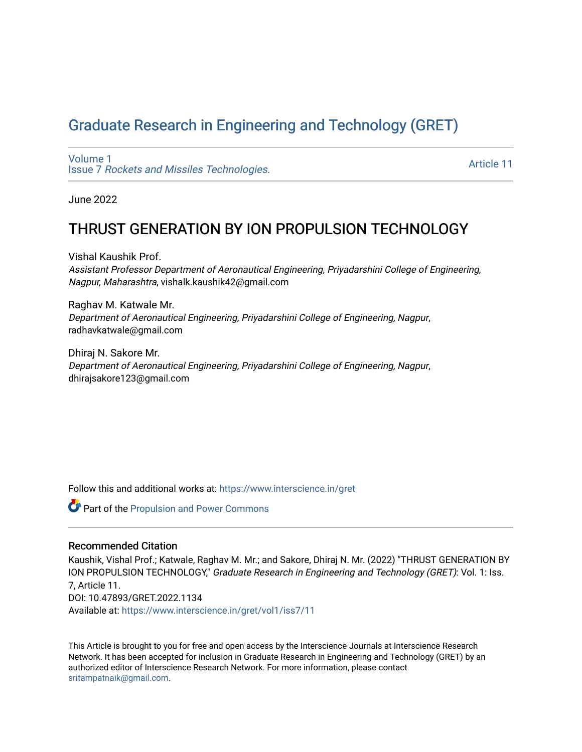# [Graduate Research in Engineering and Technology \(GRET\)](https://www.interscience.in/gret)

[Volume 1](https://www.interscience.in/gret/vol1) Issue 7 [Rockets and Missiles Technologies.](https://www.interscience.in/gret/vol1/iss7)

[Article 11](https://www.interscience.in/gret/vol1/iss7/11) 

June 2022

# THRUST GENERATION BY ION PROPULSION TECHNOLOGY

Vishal Kaushik Prof. Assistant Professor Department of Aeronautical Engineering, Priyadarshini College of Engineering, Nagpur, Maharashtra, vishalk.kaushik42@gmail.com

Raghav M. Katwale Mr. Department of Aeronautical Engineering, Priyadarshini College of Engineering, Nagpur, radhavkatwale@gmail.com

Dhiraj N. Sakore Mr. Department of Aeronautical Engineering, Priyadarshini College of Engineering, Nagpur, dhirajsakore123@gmail.com

Follow this and additional works at: [https://www.interscience.in/gret](https://www.interscience.in/gret?utm_source=www.interscience.in%2Fgret%2Fvol1%2Fiss7%2F11&utm_medium=PDF&utm_campaign=PDFCoverPages)

**C** Part of the [Propulsion and Power Commons](https://network.bepress.com/hgg/discipline/225?utm_source=www.interscience.in%2Fgret%2Fvol1%2Fiss7%2F11&utm_medium=PDF&utm_campaign=PDFCoverPages)

#### Recommended Citation

Kaushik, Vishal Prof.; Katwale, Raghav M. Mr.; and Sakore, Dhiraj N. Mr. (2022) "THRUST GENERATION BY ION PROPULSION TECHNOLOGY," Graduate Research in Engineering and Technology (GRET): Vol. 1: Iss. 7, Article 11. DOI: 10.47893/GRET.2022.1134 Available at: [https://www.interscience.in/gret/vol1/iss7/11](https://www.interscience.in/gret/vol1/iss7/11?utm_source=www.interscience.in%2Fgret%2Fvol1%2Fiss7%2F11&utm_medium=PDF&utm_campaign=PDFCoverPages) 

This Article is brought to you for free and open access by the Interscience Journals at Interscience Research Network. It has been accepted for inclusion in Graduate Research in Engineering and Technology (GRET) by an authorized editor of Interscience Research Network. For more information, please contact [sritampatnaik@gmail.com](mailto:sritampatnaik@gmail.com).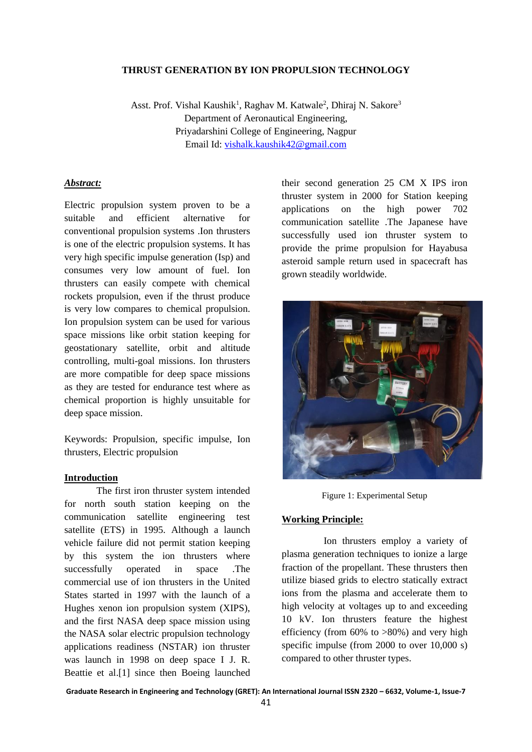#### **THRUST GENERATION BY ION PROPULSION TECHNOLOGY**

Asst. Prof. Vishal Kaushik<sup>1</sup>, Raghav M. Katwale<sup>2</sup>, Dhiraj N. Sakore<sup>3</sup> Department of Aeronautical Engineering, Priyadarshini College of Engineering, Nagpur Email Id: [vishalk.kaushik42@gmail.com](mailto:vishalk.kaushik42@gmail.com)

#### *Abstract:*

Electric propulsion system proven to be a suitable and efficient alternative for conventional propulsion systems .Ion thrusters is one of the electric propulsion systems. It has very high specific impulse generation (Isp) and consumes very low amount of fuel. Ion thrusters can easily compete with chemical rockets propulsion, even if the thrust produce is very low compares to chemical propulsion. Ion propulsion system can be used for various space missions like orbit station keeping for geostationary satellite, orbit and altitude controlling, multi-goal missions. Ion thrusters are more compatible for deep space missions as they are tested for endurance test where as chemical proportion is highly unsuitable for deep space mission.

Keywords: Propulsion, specific impulse, Ion thrusters, Electric propulsion

#### **Introduction**

The first iron thruster system intended for north south station keeping on the communication satellite engineering test satellite (ETS) in 1995. Although a launch vehicle failure did not permit station keeping by this system the ion thrusters where successfully operated in space .The commercial use of ion thrusters in the United States started in 1997 with the launch of a Hughes xenon ion propulsion system (XIPS), and the first NASA deep space mission using the NASA solar electric propulsion technology applications readiness (NSTAR) ion thruster was launch in 1998 on deep space I J. R. Beattie et al.[1] since then Boeing launched their second generation 25 CM X IPS iron thruster system in 2000 for Station keeping applications on the high power 702 communication satellite .The Japanese have successfully used ion thruster system to provide the prime propulsion for Hayabusa asteroid sample return used in spacecraft has grown steadily worldwide.



Figure 1: Experimental Setup

#### **Working Principle:**

 Ion thrusters employ a variety of plasma generation techniques to ionize a large fraction of the propellant. These thrusters then utilize biased grids to electro statically extract ions from the plasma and accelerate them to high velocity at voltages up to and exceeding 10 kV. Ion thrusters feature the highest efficiency (from  $60\%$  to  $>80\%$ ) and very high specific impulse (from 2000 to over 10,000 s) compared to other thruster types.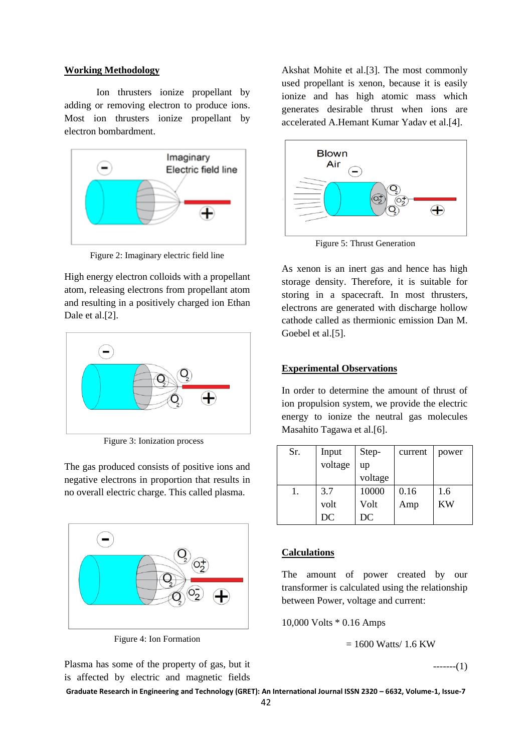### **Working Methodology**

Ion thrusters ionize propellant by adding or removing electron to produce ions. Most ion thrusters ionize propellant by electron bombardment.



Figure 2: Imaginary electric field line

High energy electron colloids with a propellant atom, releasing electrons from propellant atom and resulting in a positively charged ion Ethan Dale et al.[2].



Figure 3: Ionization process

The gas produced consists of positive ions and negative electrons in proportion that results in no overall electric charge. This called plasma.



Figure 4: Ion Formation

Plasma has some of the property of gas, but it is affected by electric and magnetic fields

Akshat Mohite et al.[3]. The most commonly used propellant is xenon, because it is easily ionize and has high atomic mass which generates desirable thrust when ions are accelerated A.Hemant Kumar Yadav et al.[4].



Figure 5: Thrust Generation

As xenon is an inert gas and hence has high storage density. Therefore, it is suitable for storing in a spacecraft. In most thrusters, electrons are generated with discharge hollow cathode called as thermionic emission Dan M. Goebel et al.[5].

## **Experimental Observations**

In order to determine the amount of thrust of ion propulsion system, we provide the electric energy to ionize the neutral gas molecules Masahito Tagawa et al.[6].

| Sr. | Input   | Step-   | current | power |
|-----|---------|---------|---------|-------|
|     | voltage | up      |         |       |
|     |         | voltage |         |       |
|     | 3.7     | 10000   | 0.16    | 1.6   |
|     | volt    | Volt    | Amp     | KW    |
|     | DC      | DC      |         |       |

# **Calculations**

The amount of power created by our transformer is calculated using the relationship between Power, voltage and current:

10,000 Volts \* 0.16 Amps

 $= 1600$  Watts/ 1.6 KW

 $---(1)$ 

**Graduate Research in Engineering and Technology (GRET): An International Journal ISSN 2320 – 6632, Volume-1, Issue-7**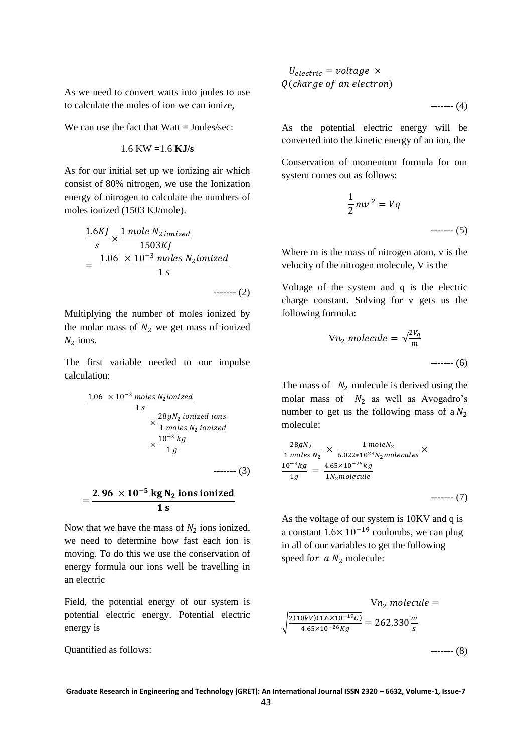As we need to convert watts into joules to use to calculate the moles of ion we can ionize,

We can use the fact that Watt **=** Joules/sec:

$$
1.6 \text{ KW} = 1.6 \text{ KJ/s}
$$

As for our initial set up we ionizing air which consist of 80% nitrogen, we use the Ionization energy of nitrogen to calculate the numbers of moles ionized (1503 KJ/mole).

$$
\frac{1.6KJ}{s} \times \frac{1 \text{ mole } N_2 \text{ ionized}}{1503KJ}
$$
  
= 
$$
\frac{1.06 \times 10^{-3} \text{ moles } N_2 \text{ionized}}{1 \text{ s}}
$$
........(2)

Multiplying the number of moles ionized by the molar mass of  $N_2$  we get mass of ionized  $N_2$  ions.

The first variable needed to our impulse calculation:

$$
\frac{1.06 \times 10^{-3} \text{ moles } N_2 \text{ionized}}{1 \text{ s}}\n \times \frac{28gN_2 \text{ ionized ions}}{1 \text{ moles } N_2 \text{ ionized}}\n \times \frac{10^{-3} \text{ kg}}{1 \text{ g}}
$$

$$
=\frac{2.96\times10^{-5}\text{ kg N}_2\text{ ions ionized}}{1\text{ s}}
$$

Now that we have the mass of  $N_2$  ions ionized, we need to determine how fast each ion is moving. To do this we use the conservation of energy formula our ions well be travelling in an electric

Field, the potential energy of our system is potential electric energy. Potential electric energy is

Quantified as follows:

$$
U_{electric} = voltage \times
$$
  
Q(charge of an electron)

------- (4)

As the potential electric energy will be converted into the kinetic energy of an ion, the

Conservation of momentum formula for our system comes out as follows:

$$
\frac{1}{2}mv^2 = Vq
$$
\n
$$
\text{---}(5)
$$

Where m is the mass of nitrogen atom, v is the velocity of the nitrogen molecule, V is the

Voltage of the system and q is the electric charge constant. Solving for v gets us the following formula:

$$
Vn_2 \, molecule = \sqrt{\frac{2V_q}{m}}
$$
\n
$$
........(6)
$$

The mass of  $N_2$  molecule is derived using the molar mass of  $N_2$  as well as Avogadro's number to get us the following mass of a  $N_2$ molecule:

$$
\frac{28gN_2}{1 \text{ moles } N_2} \times \frac{1 \text{ moleN}_2}{6.022 \times 10^{23} N_2 \text{molecules}} \times
$$
  

$$
\frac{10^{-3}kg}{1g} = \frac{4.65 \times 10^{-26}kg}{1N_2 \text{molecule}}
$$

As the voltage of our system is 10KV and q is a constant  $1.6 \times 10^{-19}$  coulombs, we can plug in all of our variables to get the following speed for  $a N_2$  molecule:

$$
Vn_2 \text{ molecule} =
$$
\n
$$
\sqrt{\frac{2(10kV)(1.6 \times 10^{-19}C)}{4.65 \times 10^{-26}Kg}} = 262,330 \frac{m}{s}
$$
\n
$$
\text{........ (8)}
$$